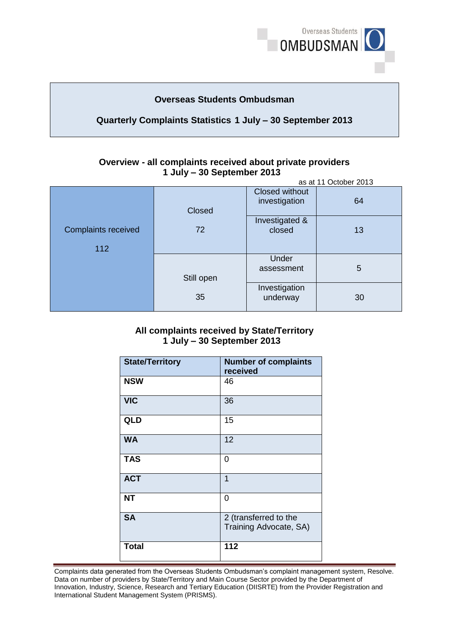

## **Overseas Students Ombudsman**

## **Quarterly Complaints Statistics 1 July – 30 September 2013**

#### **Overview - all complaints received about private providers 1 July – 30 September 2013**  as at 11 October 2013

|                                   | as at TI OUWUU ZUTU |                                 |    |
|-----------------------------------|---------------------|---------------------------------|----|
|                                   | Closed              | Closed without<br>investigation | 64 |
| <b>Complaints received</b><br>112 | 72                  | Investigated &<br>closed        | 13 |
|                                   | Still open          | Under<br>assessment             | 5  |
|                                   | 35                  | Investigation<br>underway       | 30 |

#### **1 July – 30 September 2013 All complaints received by State/Territory**

| <b>State/Territory</b> | <b>Number of complaints</b><br>received         |
|------------------------|-------------------------------------------------|
| <b>NSW</b>             | 46                                              |
| <b>VIC</b>             | 36                                              |
| QLD                    | 15                                              |
| <b>WA</b>              | 12                                              |
| <b>TAS</b>             | 0                                               |
| <b>ACT</b>             | 1                                               |
| <b>NT</b>              | 0                                               |
| <b>SA</b>              | 2 (transferred to the<br>Training Advocate, SA) |
| <b>Total</b>           | 112                                             |

Complaints data generated from the Overseas Students Ombudsman's complaint management system, Resolve. Complaints data generated from the Overseas Students Ombudsman's complaint management system, Resolve.<br>Data on number of providers by State/Territory and Main Course Sector provided by the Department of Innovation, Industry, Science, Research and Tertiary Education (DIISRTE) from the Provider Registration and International Student Management System (PRISMS).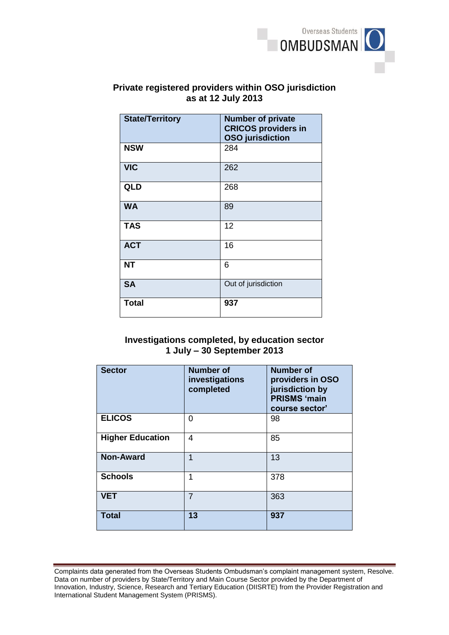

# **as at 12 July 2013 Private registered providers within OSO jurisdiction**

| <b>State/Territory</b> | <b>Number of private</b><br><b>CRICOS providers in</b><br><b>OSO</b> jurisdiction |
|------------------------|-----------------------------------------------------------------------------------|
| <b>NSW</b>             | 284                                                                               |
| <b>VIC</b>             | 262                                                                               |
| <b>QLD</b>             | 268                                                                               |
| <b>WA</b>              | 89                                                                                |
| <b>TAS</b>             | 12                                                                                |
| <b>ACT</b>             | 16                                                                                |
| <b>NT</b>              | 6                                                                                 |
| <b>SA</b>              | Out of jurisdiction                                                               |
| <b>Total</b>           | 937                                                                               |

### **1 July – 30 September 2013 Investigations completed, by education sector**

| <b>Sector</b>           | <b>Number of</b><br>investigations<br>completed | <b>Number of</b><br>providers in OSO<br>jurisdiction by<br><b>PRISMS 'main</b><br>course sector' |
|-------------------------|-------------------------------------------------|--------------------------------------------------------------------------------------------------|
| <b>ELICOS</b>           | 0                                               | 98                                                                                               |
| <b>Higher Education</b> | 4                                               | 85                                                                                               |
| <b>Non-Award</b>        | 1                                               | 13                                                                                               |
| <b>Schools</b>          | 1                                               | 378                                                                                              |
| <b>VET</b>              | $\overline{7}$                                  | 363                                                                                              |
| <b>Total</b>            | 13                                              | 937                                                                                              |

Complaints data generated from the Overseas Students Ombudsman's complaint management system, Resolve. Complaints data generated from the Overseas Students Ombudsman's complaint management system, Resolve.<br>Data on number of providers by State/Territory and Main Course Sector provided by the Department of Innovation, Industry, Science, Research and Tertiary Education (DIISRTE) from the Provider Registration and International Student Management System (PRISMS).